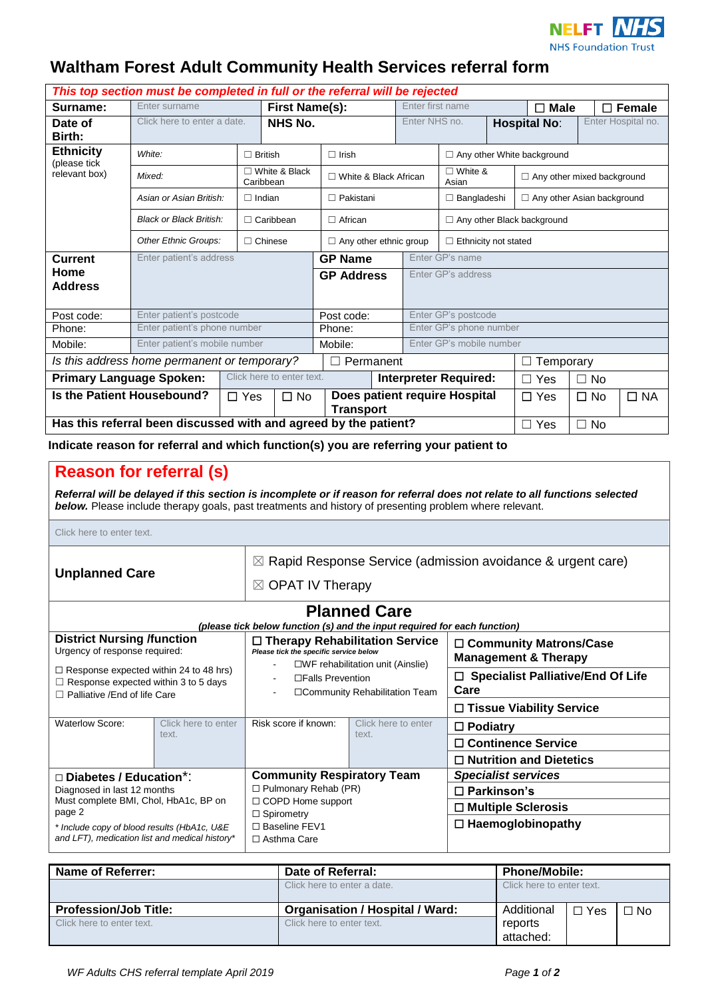

## **Waltham Forest Adult Community Health Services referral form**

| This top section must be completed in full or the referral will be rejected |                                |                                        |                       |                                                   |                          |                         |                                   |                                   |                                   |                    |  |
|-----------------------------------------------------------------------------|--------------------------------|----------------------------------------|-----------------------|---------------------------------------------------|--------------------------|-------------------------|-----------------------------------|-----------------------------------|-----------------------------------|--------------------|--|
| Surname:                                                                    | Enter surname                  |                                        | <b>First Name(s):</b> | Enter first name                                  |                          |                         |                                   | $\Box$ Male                       |                                   | $\Box$ Female      |  |
| Date of                                                                     |                                | Click here to enter a date.<br>NHS No. |                       | Enter NHS no.                                     |                          |                         |                                   | <b>Hospital No:</b>               |                                   | Enter Hospital no. |  |
| Birth:                                                                      |                                |                                        |                       |                                                   |                          |                         |                                   |                                   |                                   |                    |  |
| <b>Ethnicity</b><br>(please tick                                            | White:                         | $\Box$ British                         |                       | $\Box$ Irish                                      |                          |                         | $\Box$ Any other White background |                                   |                                   |                    |  |
| relevant box)                                                               | Mixed:                         | Caribbean                              | □ White & Black       | $\Box$ White & Black African                      |                          | $\Box$ White &<br>Asian |                                   | $\Box$ Any other mixed background |                                   |                    |  |
|                                                                             | Asian or Asian British:        | $\Box$ Indian                          |                       | $\Box$ Pakistani                                  |                          |                         | $\Box$ Bangladeshi                |                                   | $\Box$ Any other Asian background |                    |  |
|                                                                             | <b>Black or Black British:</b> |                                        | $\Box$ Caribbean      | $\Box$ African                                    |                          |                         | □ Any other Black background      |                                   |                                   |                    |  |
|                                                                             | <b>Other Ethnic Groups:</b>    |                                        | $\Box$ Chinese        | $\Box$ Any other ethnic group                     |                          |                         | $\Box$ Ethnicity not stated       |                                   |                                   |                    |  |
| <b>Current</b>                                                              | Enter patient's address        |                                        |                       | Enter GP's name<br><b>GP Name</b>                 |                          |                         |                                   |                                   |                                   |                    |  |
| Home                                                                        |                                |                                        |                       | Enter GP's address<br><b>GP Address</b>           |                          |                         |                                   |                                   |                                   |                    |  |
| <b>Address</b>                                                              |                                |                                        |                       |                                                   |                          |                         |                                   |                                   |                                   |                    |  |
| Post code:                                                                  | Enter patient's postcode       |                                        |                       | Post code:                                        |                          | Enter GP's postcode     |                                   |                                   |                                   |                    |  |
| Phone:                                                                      | Enter patient's phone number   |                                        |                       | Phone:                                            |                          | Enter GP's phone number |                                   |                                   |                                   |                    |  |
| Mobile:                                                                     | Enter patient's mobile number  |                                        |                       | Mobile:                                           | Enter GP's mobile number |                         |                                   |                                   |                                   |                    |  |
| Is this address home permanent or temporary?                                |                                |                                        |                       | Permanent                                         |                          |                         |                                   | Temporary                         |                                   |                    |  |
| Click here to enter text.<br><b>Primary Language Spoken:</b>                |                                |                                        |                       |                                                   |                          |                         | <b>Interpreter Required:</b>      |                                   | Yes<br>П                          | $\Box$ No          |  |
| Is the Patient Housebound?<br>$\Box$ Yes                                    |                                |                                        | $\Box$ No             | Does patient require Hospital<br><b>Transport</b> |                          |                         |                                   | $\Box$ Yes                        | $\Box$ No                         | $\Box$ NA          |  |
| Has this referral been discussed with and agreed by the patient?            |                                |                                        |                       |                                                   |                          |                         | $\Box$ Yes                        | П.<br>No                          |                                   |                    |  |

**Indicate reason for referral and which function(s) you are referring your patient to**

## **Reason for referral (s)**

*Referral will be delayed if this section is incomplete or if reason for referral does not relate to all functions selected below.* Please include therapy goals, past treatments and history of presenting problem where relevant.

| Click here to enter text. |  |  |  |  |
|---------------------------|--|--|--|--|
|---------------------------|--|--|--|--|

| <b>Unplanned Care</b>                                                                                                                |                              | $\boxtimes$ Rapid Response Service (admission avoidance & urgent care)<br>$\boxtimes$ OPAT IV Therapy |                                                                                                  |                                                             |  |  |  |  |
|--------------------------------------------------------------------------------------------------------------------------------------|------------------------------|-------------------------------------------------------------------------------------------------------|--------------------------------------------------------------------------------------------------|-------------------------------------------------------------|--|--|--|--|
|                                                                                                                                      |                              |                                                                                                       | <b>Planned Care</b><br>(please tick below function (s) and the input required for each function) |                                                             |  |  |  |  |
| <b>District Nursing /function</b><br>Urgency of response required:                                                                   |                              | $\Box$ Therapy Rehabilitation Service<br>Please tick the specific service below<br>$\blacksquare$     | $\square$ WF rehabilitation unit (Ainslie)                                                       | □ Community Matrons/Case<br><b>Management &amp; Therapy</b> |  |  |  |  |
| $\Box$ Response expected within 24 to 48 hrs)<br>$\Box$ Response expected within 3 to 5 days<br>$\Box$ Palliative / End of life Care |                              | □Falls Prevention<br>$\sim$<br>$\blacksquare$                                                         | □ Community Rehabilitation Team                                                                  | $\Box$ Specialist Palliative/End Of Life<br>Care            |  |  |  |  |
|                                                                                                                                      |                              |                                                                                                       |                                                                                                  | □ Tissue Viability Service                                  |  |  |  |  |
| <b>Waterlow Score:</b>                                                                                                               | Click here to enter<br>text. | Risk score if known:                                                                                  | Click here to enter<br>text.                                                                     | $\square$ Podiatry                                          |  |  |  |  |
|                                                                                                                                      |                              |                                                                                                       |                                                                                                  | □ Continence Service                                        |  |  |  |  |
|                                                                                                                                      |                              |                                                                                                       |                                                                                                  | $\Box$ Nutrition and Dietetics                              |  |  |  |  |
| □ Diabetes / Education*:                                                                                                             |                              | <b>Community Respiratory Team</b>                                                                     |                                                                                                  | <b>Specialist services</b>                                  |  |  |  |  |
| Diagnosed in last 12 months                                                                                                          |                              | $\Box$ Pulmonary Rehab (PR)                                                                           |                                                                                                  | $\Box$ Parkinson's                                          |  |  |  |  |
| Must complete BMI, Chol, HbA1c, BP on<br>page 2                                                                                      |                              | $\Box$ COPD Home support<br>$\Box$ Spirometry<br>$\Box$ Baseline FEV1<br>$\Box$ Asthma Care           |                                                                                                  | $\Box$ Multiple Sclerosis                                   |  |  |  |  |
| * Include copy of blood results (HbA1c, U&E)<br>and LFT), medication list and medical history*                                       |                              |                                                                                                       |                                                                                                  | $\Box$ Haemoglobinopathy                                    |  |  |  |  |

| Name of Referrer:            | Date of Referral:                      | <b>Phone/Mobile:</b>      |            |             |  |
|------------------------------|----------------------------------------|---------------------------|------------|-------------|--|
|                              | Click here to enter a date.            | Click here to enter text. |            |             |  |
| <b>Profession/Job Title:</b> | <b>Organisation / Hospital / Ward:</b> | Additional                | $\Box$ Yes | $\nabla$ No |  |
| Click here to enter text.    | Click here to enter text.              | reports                   |            |             |  |
|                              |                                        | attached:                 |            |             |  |